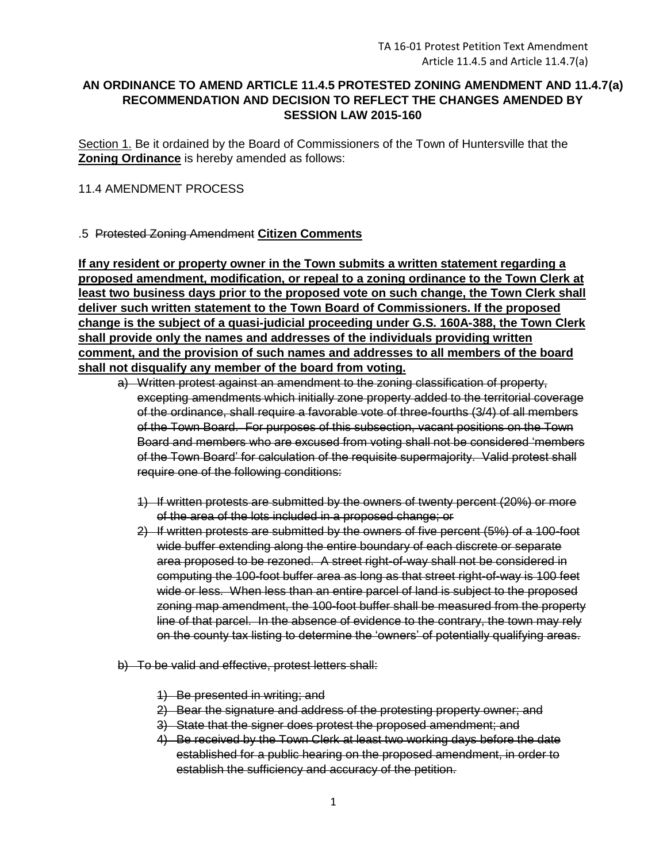## **AN ORDINANCE TO AMEND ARTICLE 11.4.5 PROTESTED ZONING AMENDMENT AND 11.4.7(a) RECOMMENDATION AND DECISION TO REFLECT THE CHANGES AMENDED BY SESSION LAW 2015-160**

Section 1. Be it ordained by the Board of Commissioners of the Town of Huntersville that the **Zoning Ordinance** is hereby amended as follows:

## 11.4 AMENDMENT PROCESS

## .5 Protested Zoning Amendment **Citizen Comments**

**If any resident or property owner in the Town submits a written statement regarding a proposed amendment, modification, or repeal to a zoning ordinance to the Town Clerk at least two business days prior to the proposed vote on such change, the Town Clerk shall deliver such written statement to the Town Board of Commissioners. If the proposed change is the subject of a quasi-judicial proceeding under G.S. 160A-388, the Town Clerk shall provide only the names and addresses of the individuals providing written comment, and the provision of such names and addresses to all members of the board shall not disqualify any member of the board from voting.**

- a) Written protest against an amendment to the zoning classification of property, excepting amendments which initially zone property added to the territorial coverage of the ordinance, shall require a favorable vote of three-fourths (3/4) of all members of the Town Board. For purposes of this subsection, vacant positions on the Town Board and members who are excused from voting shall not be considered 'members of the Town Board' for calculation of the requisite supermajority. Valid protest shall require one of the following conditions:
	- 1) If written protests are submitted by the owners of twenty percent (20%) or more of the area of the lots included in a proposed change; or
	- 2) If written protests are submitted by the owners of five percent (5%) of a 100-foot wide buffer extending along the entire boundary of each discrete or separate area proposed to be rezoned. A street right-of-way shall not be considered in computing the 100-foot buffer area as long as that street right-of-way is 100 feet wide or less. When less than an entire parcel of land is subject to the proposed zoning map amendment, the 100-foot buffer shall be measured from the property line of that parcel. In the absence of evidence to the contrary, the town may rely on the county tax listing to determine the 'owners' of potentially qualifying areas.
- b) To be valid and effective, protest letters shall:
	- 1) Be presented in writing; and
	- 2) Bear the signature and address of the protesting property owner; and
	- 3) State that the signer does protest the proposed amendment; and
	- 4) Be received by the Town Clerk at least two working days before the date established for a public hearing on the proposed amendment, in order to establish the sufficiency and accuracy of the petition.